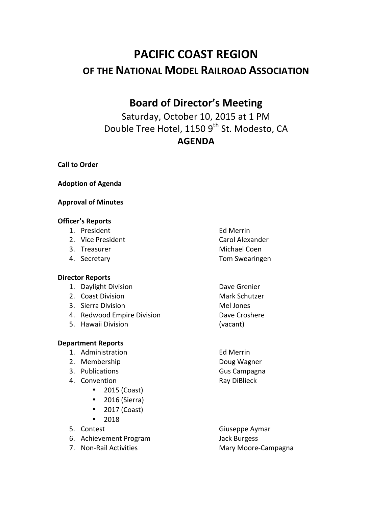# **PACIFIC COAST REGION OF THE NATIONAL MODEL RAILROAD ASSOCIATION**

# **Board of Director's Meeting**

Saturday, October 10, 2015 at 1 PM Double Tree Hotel, 1150 9<sup>th</sup> St. Modesto, CA **AGENDA**

**Call to Order** 

**Adoption of Agenda**

#### **Approval of Minutes**

#### **Officer's Reports**

- 1. President **Ed Merrin**
- 2. Vice President **Carol** Alexander
- 
- 

#### **Director Reports**

- 1. Daylight Division **Dave Grenier**
- 2. Coast Division **Mark Schutzer** Mark Schutzer
- 3. Sierra Division and Mellones
- 4. Redwood Empire Division **Dave Croshere**
- 5. Hawaii Division (vacant)

#### **Department Reports**

- 1. Administration **Ed Merrin**
- 2. Membership **Doug** Wagner
- 3. Publications **Gus** Campagna
- 4. Convention **Ray** DiBlieck
	- 2015 (Coast)
	- $\bullet$  2016 (Sierra)
	- $\bullet$  2017 (Coast)
	- 2018
- 
- 6. Achievement Program Jack Burgess
- 
- 3. Treasurer Michael Coen 4. Secretary **Tom** Swearingen
	-
	-
- 5. Contest Giuseppe Aymar 7. Non-Rail Activities **Mary Moore-Campagna**